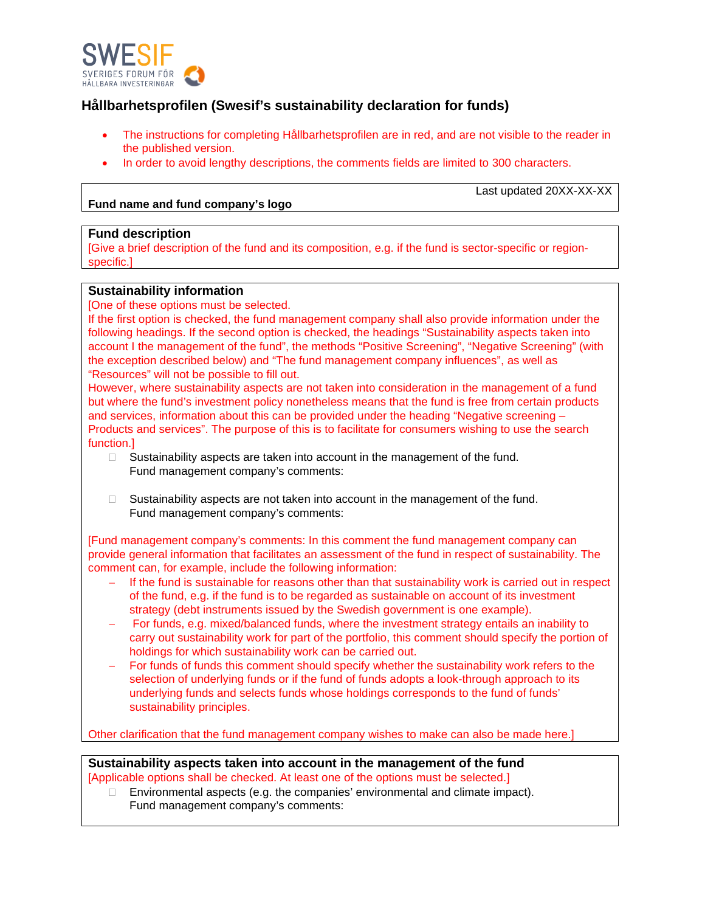

# **Hållbarhetsprofilen (Swesif's sustainability declaration for funds)**

- The instructions for completing Hållbarhetsprofilen are in red, and are not visible to the reader in the published version.
- In order to avoid lengthy descriptions, the comments fields are limited to 300 characters.

### **Fund name and fund company's logo**

Last updated 20XX-XX-XX

#### **Fund description**

[Give a brief description of the fund and its composition, e.g. if the fund is sector-specific or regionspecific.]

### **Sustainability information**

[One of these options must be selected.

If the first option is checked, the fund management company shall also provide information under the following headings. If the second option is checked, the headings "Sustainability aspects taken into account I the management of the fund", the methods "Positive Screening", "Negative Screening" (with the exception described below) and "The fund management company influences", as well as "Resources" will not be possible to fill out.

However, where sustainability aspects are not taken into consideration in the management of a fund but where the fund's investment policy nonetheless means that the fund is free from certain products and services, information about this can be provided under the heading "Negative screening – Products and services". The purpose of this is to facilitate for consumers wishing to use the search function.]

- $\Box$  Sustainability aspects are taken into account in the management of the fund. Fund management company's comments:
- $\Box$  Sustainability aspects are not taken into account in the management of the fund. Fund management company's comments:

[Fund management company's comments: In this comment the fund management company can provide general information that facilitates an assessment of the fund in respect of sustainability. The comment can, for example, include the following information:

- If the fund is sustainable for reasons other than that sustainability work is carried out in respect of the fund, e.g. if the fund is to be regarded as sustainable on account of its investment strategy (debt instruments issued by the Swedish government is one example).
- For funds, e.g. mixed/balanced funds, where the investment strategy entails an inability to carry out sustainability work for part of the portfolio, this comment should specify the portion of holdings for which sustainability work can be carried out.
- For funds of funds this comment should specify whether the sustainability work refers to the selection of underlying funds or if the fund of funds adopts a look-through approach to its underlying funds and selects funds whose holdings corresponds to the fund of funds' sustainability principles.

Other clarification that the fund management company wishes to make can also be made here.]

# **Sustainability aspects taken into account in the management of the fund**

[Applicable options shall be checked. At least one of the options must be selected.]

 $\Box$  Environmental aspects (e.g. the companies' environmental and climate impact). Fund management company's comments: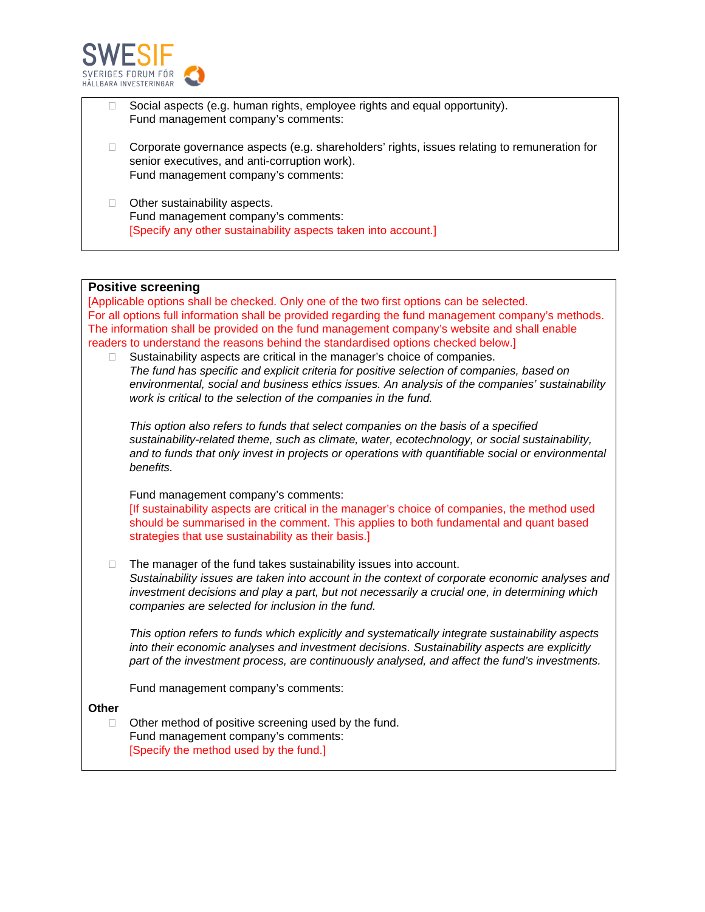

- Social aspects (e.g. human rights, employee rights and equal opportunity). Fund management company's comments:
- $\Box$  Corporate governance aspects (e.g. shareholders' rights, issues relating to remuneration for senior executives, and anti-corruption work). Fund management company's comments:
- □ Other sustainability aspects. Fund management company's comments: [Specify any other sustainability aspects taken into account.]

#### **Positive screening**

[Applicable options shall be checked. Only one of the two first options can be selected. For all options full information shall be provided regarding the fund management company's methods. The information shall be provided on the fund management company's website and shall enable readers to understand the reasons behind the standardised options checked below.]

 $\Box$  Sustainability aspects are critical in the manager's choice of companies. *The fund has specific and explicit criteria for positive selection of companies, based on environmental, social and business ethics issues. An analysis of the companies' sustainability work is critical to the selection of the companies in the fund.*

*This option also refers to funds that select companies on the basis of a specified sustainability-related theme, such as climate, water, ecotechnology, or social sustainability, and to funds that only invest in projects or operations with quantifiable social or environmental benefits.*

Fund management company's comments:

[If sustainability aspects are critical in the manager's choice of companies, the method used should be summarised in the comment. This applies to both fundamental and quant based strategies that use sustainability as their basis.]

□ The manager of the fund takes sustainability issues into account. *Sustainability issues are taken into account in the context of corporate economic analyses and investment decisions and play a part, but not necessarily a crucial one, in determining which companies are selected for inclusion in the fund.*

*This option refers to funds which explicitly and systematically integrate sustainability aspects into their economic analyses and investment decisions. Sustainability aspects are explicitly part of the investment process, are continuously analysed, and affect the fund's investments.*

Fund management company's comments:

**Other**

 $\Box$  Other method of positive screening used by the fund. Fund management company's comments: [Specify the method used by the fund.]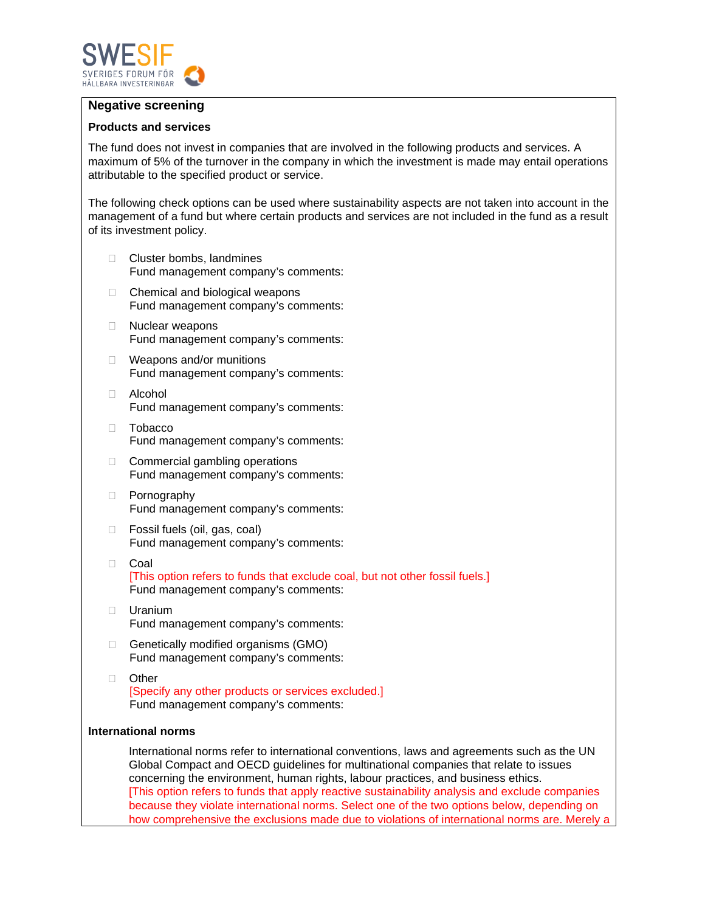

## **Negative screening**

#### **Products and services**

The fund does not invest in companies that are involved in the following products and services. A maximum of 5% of the turnover in the company in which the investment is made may entail operations attributable to the specified product or service.

The following check options can be used where sustainability aspects are not taken into account in the management of a fund but where certain products and services are not included in the fund as a result of its investment policy.

- □ Cluster bombs, landmines Fund management company's comments:
- □ Chemical and biological weapons Fund management company's comments:
- □ Nuclear weapons Fund management company's comments:
- □ Weapons and/or munitions Fund management company's comments:
- Alcohol Fund management company's comments:
- Tobacco Fund management company's comments:
- $\Box$  Commercial gambling operations Fund management company's comments:
- D Pornography Fund management company's comments:
- □ Fossil fuels (oil, gas, coal) Fund management company's comments:
- Coal [This option refers to funds that exclude coal, but not other fossil fuels.] Fund management company's comments:
- Uranium Fund management company's comments:
- $\Box$  Genetically modified organisms (GMO) Fund management company's comments:
- D Other [Specify any other products or services excluded.] Fund management company's comments:

#### **International norms**

International norms refer to international conventions, laws and agreements such as the UN Global Compact and OECD guidelines for multinational companies that relate to issues concerning the environment, human rights, labour practices, and business ethics. [This option refers to funds that apply reactive sustainability analysis and exclude companies because they violate international norms. Select one of the two options below, depending on how comprehensive the exclusions made due to violations of international norms are. Merely a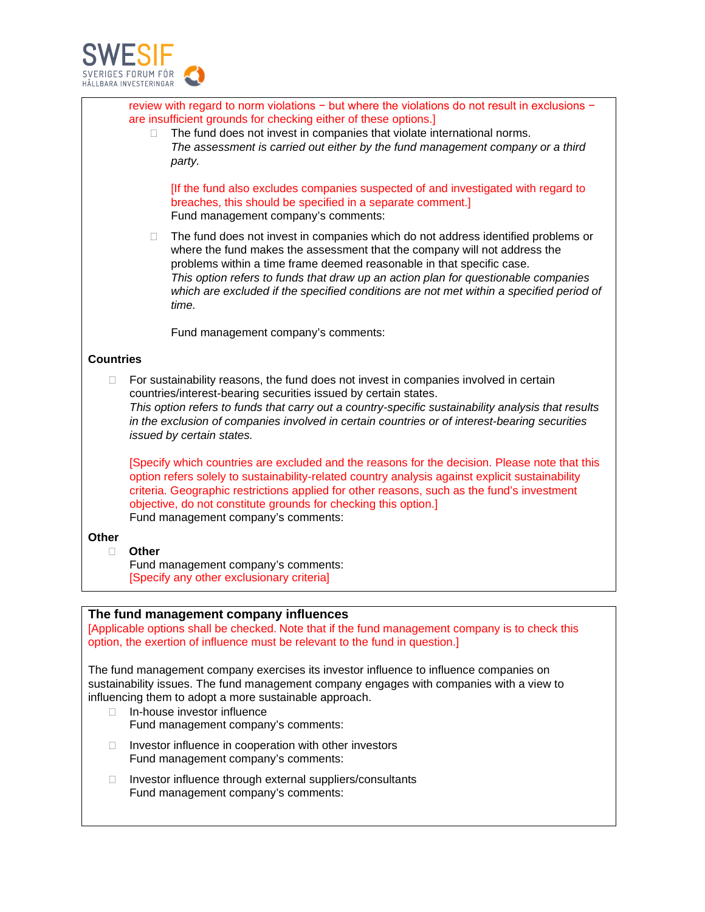

|                  |                                                                                                                                                                                                                                                                                                                                                                                              | review with regard to norm violations - but where the violations do not result in exclusions -<br>are insufficient grounds for checking either of these options.]<br>The fund does not invest in companies that violate international norms.<br>The assessment is carried out either by the fund management company or a third<br>party.                                                                                          |
|------------------|----------------------------------------------------------------------------------------------------------------------------------------------------------------------------------------------------------------------------------------------------------------------------------------------------------------------------------------------------------------------------------------------|-----------------------------------------------------------------------------------------------------------------------------------------------------------------------------------------------------------------------------------------------------------------------------------------------------------------------------------------------------------------------------------------------------------------------------------|
|                  |                                                                                                                                                                                                                                                                                                                                                                                              | [If the fund also excludes companies suspected of and investigated with regard to<br>breaches, this should be specified in a separate comment.]<br>Fund management company's comments:                                                                                                                                                                                                                                            |
|                  | Ц                                                                                                                                                                                                                                                                                                                                                                                            | The fund does not invest in companies which do not address identified problems or<br>where the fund makes the assessment that the company will not address the<br>problems within a time frame deemed reasonable in that specific case.<br>This option refers to funds that draw up an action plan for questionable companies<br>which are excluded if the specified conditions are not met within a specified period of<br>time. |
|                  |                                                                                                                                                                                                                                                                                                                                                                                              | Fund management company's comments:                                                                                                                                                                                                                                                                                                                                                                                               |
| <b>Countries</b> |                                                                                                                                                                                                                                                                                                                                                                                              |                                                                                                                                                                                                                                                                                                                                                                                                                                   |
| $\Box$           | For sustainability reasons, the fund does not invest in companies involved in certain<br>countries/interest-bearing securities issued by certain states.<br>This option refers to funds that carry out a country-specific sustainability analysis that results<br>in the exclusion of companies involved in certain countries or of interest-bearing securities<br>issued by certain states. |                                                                                                                                                                                                                                                                                                                                                                                                                                   |
|                  |                                                                                                                                                                                                                                                                                                                                                                                              | [Specify which countries are excluded and the reasons for the decision. Please note that this<br>option refers solely to sustainability-related country analysis against explicit sustainability<br>criteria. Geographic restrictions applied for other reasons, such as the fund's investment<br>objective, do not constitute grounds for checking this option.]<br>Fund management company's comments:                          |
| <b>Other</b>     |                                                                                                                                                                                                                                                                                                                                                                                              |                                                                                                                                                                                                                                                                                                                                                                                                                                   |
| □                | <b>Other</b>                                                                                                                                                                                                                                                                                                                                                                                 | Fund management company's comments:<br>[Specify any other exclusionary criteria]                                                                                                                                                                                                                                                                                                                                                  |
|                  |                                                                                                                                                                                                                                                                                                                                                                                              |                                                                                                                                                                                                                                                                                                                                                                                                                                   |
|                  |                                                                                                                                                                                                                                                                                                                                                                                              | The fund management company influences<br>[Applicable options shall be checked. Note that if the fund management company is to check this<br>option, the exertion of influence must be relevant to the fund in question.]                                                                                                                                                                                                         |
| $\Box$           |                                                                                                                                                                                                                                                                                                                                                                                              | The fund management company exercises its investor influence to influence companies on<br>sustainability issues. The fund management company engages with companies with a view to<br>influencing them to adopt a more sustainable approach.<br>In-house investor influence<br>Fund management company's comments:                                                                                                                |
| $\Box$           |                                                                                                                                                                                                                                                                                                                                                                                              | Investor influence in cooperation with other investors<br>Fund management company's comments:                                                                                                                                                                                                                                                                                                                                     |
| □                |                                                                                                                                                                                                                                                                                                                                                                                              | Investor influence through external suppliers/consultants<br>Fund management company's comments:                                                                                                                                                                                                                                                                                                                                  |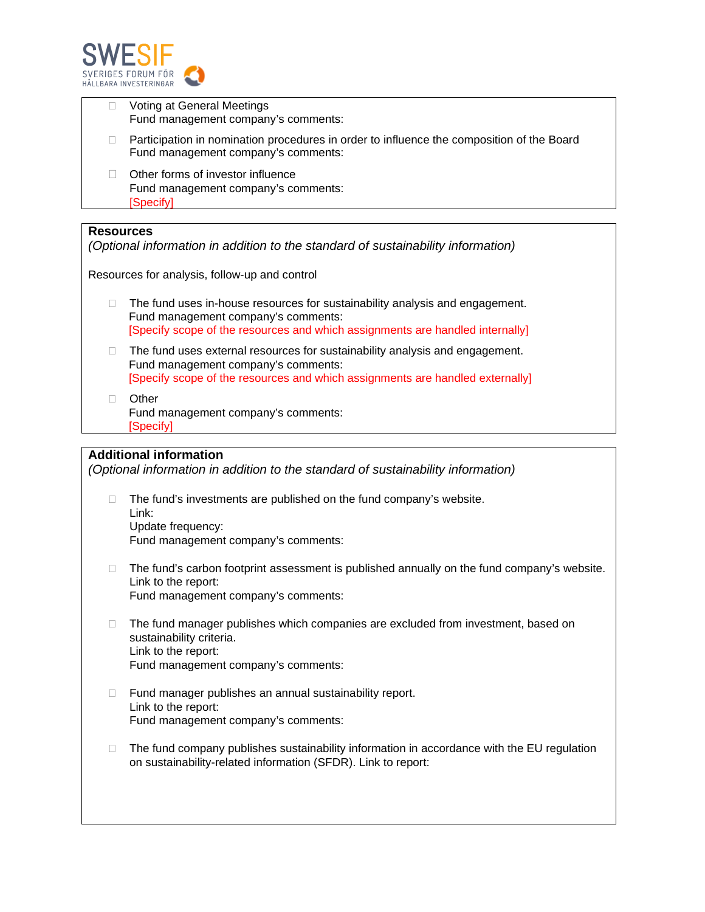

|                                                                                                                                                | Voting at General Meetings<br>Fund management company's comments:                                                                                                                                    |  |
|------------------------------------------------------------------------------------------------------------------------------------------------|------------------------------------------------------------------------------------------------------------------------------------------------------------------------------------------------------|--|
|                                                                                                                                                | Participation in nomination procedures in order to influence the composition of the Board<br>Fund management company's comments:                                                                     |  |
|                                                                                                                                                | Other forms of investor influence<br>Fund management company's comments:<br>[Specify]                                                                                                                |  |
|                                                                                                                                                |                                                                                                                                                                                                      |  |
| Resources<br>(Optional information in addition to the standard of sustainability information)<br>Resources for analysis, follow-up and control |                                                                                                                                                                                                      |  |
| П                                                                                                                                              | The fund uses in-house resources for sustainability analysis and engagement.<br>Fund management company's comments:<br>[Specify scope of the resources and which assignments are handled internally] |  |
|                                                                                                                                                | The fund uses external resources for sustainability analysis and engagement.<br>Fund management company's comments:<br>[Specify scope of the resources and which assignments are handled externally] |  |
|                                                                                                                                                | Other<br>Fund management company's comments:                                                                                                                                                         |  |

[Specify]

# **Additional information**

*(Optional information in addition to the standard of sustainability information)*

- $\Box$  The fund's investments are published on the fund company's website. Link: Update frequency: Fund management company's comments:
- $\Box$  The fund's carbon footprint assessment is published annually on the fund company's website. Link to the report: Fund management company's comments:
- $\Box$  The fund manager publishes which companies are excluded from investment, based on sustainability criteria. Link to the report: Fund management company's comments:
- $\Box$  Fund manager publishes an annual sustainability report. Link to the report: Fund management company's comments:
- $\Box$  The fund company publishes sustainability information in accordance with the EU regulation on sustainability-related information (SFDR). Link to report: